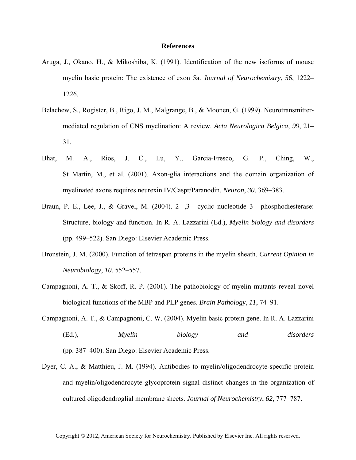## **References**

- Aruga, J., Okano, H., & Mikoshiba, K. (1991). Identification of the new isoforms of mouse myelin basic protein: The existence of exon 5a. *Journal of Neurochemistry*, *56*, 1222– 1226.
- Belachew, S., Rogister, B., Rigo, J. M., Malgrange, B., & Moonen, G. (1999). Neurotransmittermediated regulation of CNS myelination: A review. *Acta Neurologica Belgica*, *99*, 21– 31.
- Bhat, M. A., Rios, J. C., Lu, Y., Garcia-Fresco, G. P., Ching, W., St Martin, M., et al. (2001). Axon-glia interactions and the domain organization of myelinated axons requires neurexin IV/Caspr/Paranodin. *Neuron*, *30*, 369–383.
- Braun, P. E., Lee, J., & Gravel, M. (2004). 2, 3 -cyclic nucleotide 3 -phosphodiesterase: Structure, biology and function. In R. A. Lazzarini (Ed.), *Myelin biology and disorders* (pp. 499–522). San Diego: Elsevier Academic Press.
- Bronstein, J. M. (2000). Function of tetraspan proteins in the myelin sheath. *Current Opinion in Neurobiology*, *10*, 552–557.
- Campagnoni, A. T., & Skoff, R. P. (2001). The pathobiology of myelin mutants reveal novel biological functions of the MBP and PLP genes. *Brain Pathology*, *11*, 74–91.
- Campagnoni, A. T., & Campagnoni, C. W. (2004). Myelin basic protein gene. In R. A. Lazzarini (Ed.), *Myelin biology and disorders* (pp. 387–400). San Diego: Elsevier Academic Press.
- Dyer, C. A., & Matthieu, J. M. (1994). Antibodies to myelin/oligodendrocyte-specific protein and myelin/oligodendrocyte glycoprotein signal distinct changes in the organization of cultured oligodendroglial membrane sheets. *Journal of Neurochemistry*, *62*, 777–787.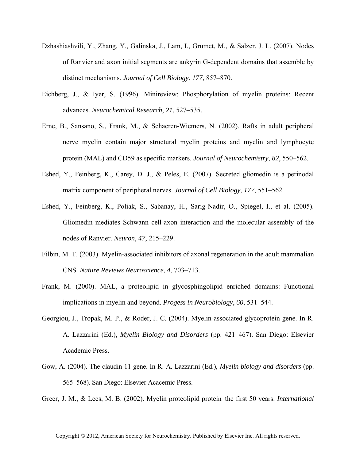- Dzhashiashvili, Y., Zhang, Y., Galinska, J., Lam, I., Grumet, M., & Salzer, J. L. (2007). Nodes of Ranvier and axon initial segments are ankyrin G-dependent domains that assemble by distinct mechanisms. *Journal of Cell Biology*, *177*, 857–870.
- Eichberg, J., & Iyer, S. (1996). Minireview: Phosphorylation of myelin proteins: Recent advances. *Neurochemical Research*, *21*, 527–535.
- Erne, B., Sansano, S., Frank, M., & Schaeren-Wiemers, N. (2002). Rafts in adult peripheral nerve myelin contain major structural myelin proteins and myelin and lymphocyte protein (MAL) and CD59 as specific markers. *Journal of Neurochemistry*, *82*, 550–562.
- Eshed, Y., Feinberg, K., Carey, D. J., & Peles, E. (2007). Secreted gliomedin is a perinodal matrix component of peripheral nerves. *Journal of Cell Biology*, *177*, 551–562.
- Eshed, Y., Feinberg, K., Poliak, S., Sabanay, H., Sarig-Nadir, O., Spiegel, I., et al. (2005). Gliomedin mediates Schwann cell-axon interaction and the molecular assembly of the nodes of Ranvier. *Neuron*, *47*, 215–229.
- Filbin, M. T. (2003). Myelin-associated inhibitors of axonal regeneration in the adult mammalian CNS. *Nature Reviews Neuroscience*, *4*, 703–713.
- Frank, M. (2000). MAL, a proteolipid in glycosphingolipid enriched domains: Functional implications in myelin and beyond. *Progess in Neurobiology*, *60*, 531–544.
- Georgiou, J., Tropak, M. P., & Roder, J. C. (2004). Myelin-associated glycoprotein gene. In R. A. Lazzarini (Ed.), *Myelin Biology and Disorders* (pp. 421–467). San Diego: Elsevier Academic Press.
- Gow, A. (2004). The claudin 11 gene. In R. A. Lazzarini (Ed.), *Myelin biology and disorders* (pp. 565–568). San Diego: Elsevier Acacemic Press.

Greer, J. M., & Lees, M. B. (2002). Myelin proteolipid protein–the first 50 years. *International*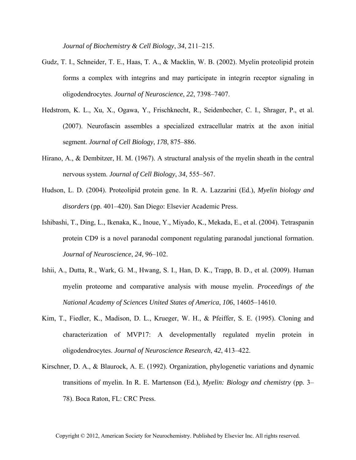*Journal of Biochemistry & Cell Biology*, *34*, 211–215.

- Gudz, T. I., Schneider, T. E., Haas, T. A., & Macklin, W. B. (2002). Myelin proteolipid protein forms a complex with integrins and may participate in integrin receptor signaling in oligodendrocytes. *Journal of Neuroscience*, *22*, 7398–7407.
- Hedstrom, K. L., Xu, X., Ogawa, Y., Frischknecht, R., Seidenbecher, C. I., Shrager, P., et al. (2007). Neurofascin assembles a specialized extracellular matrix at the axon initial segment. *Journal of Cell Biology*, *178*, 875–886.
- Hirano, A., & Dembitzer, H. M. (1967). A structural analysis of the myelin sheath in the central nervous system. *Journal of Cell Biology*, *34*, 555–567.
- Hudson, L. D. (2004). Proteolipid protein gene. In R. A. Lazzarini (Ed.), *Myelin biology and disorders* (pp. 401–420). San Diego: Elsevier Academic Press.
- Ishibashi, T., Ding, L., Ikenaka, K., Inoue, Y., Miyado, K., Mekada, E., et al. (2004). Tetraspanin protein CD9 is a novel paranodal component regulating paranodal junctional formation. *Journal of Neuroscience*, *24*, 96–102.
- Ishii, A., Dutta, R., Wark, G. M., Hwang, S. I., Han, D. K., Trapp, B. D., et al. (2009). Human myelin proteome and comparative analysis with mouse myelin. *Proceedings of the National Academy of Sciences United States of America*, *106*, 14605–14610.
- Kim, T., Fiedler, K., Madison, D. L., Krueger, W. H., & Pfeiffer, S. E. (1995). Cloning and characterization of MVP17: A developmentally regulated myelin protein in oligodendrocytes. *Journal of Neuroscience Research*, *42*, 413–422.
- Kirschner, D. A., & Blaurock, A. E. (1992). Organization, phylogenetic variations and dynamic transitions of myelin. In R. E. Martenson (Ed.), *Myelin: Biology and chemistry* (pp. 3– 78). Boca Raton, FL: CRC Press.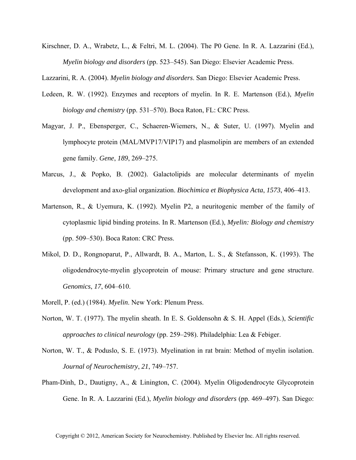Kirschner, D. A., Wrabetz, L., & Feltri, M. L. (2004). The P0 Gene. In R. A. Lazzarini (Ed.), *Myelin biology and disorders* (pp. 523–545). San Diego: Elsevier Academic Press.

Lazzarini, R. A. (2004). *Myelin biology and disorders*. San Diego: Elsevier Academic Press.

- Ledeen, R. W. (1992). Enzymes and receptors of myelin. In R. E. Martenson (Ed.), *Myelin biology and chemistry* (pp. 531–570). Boca Raton, FL: CRC Press.
- Magyar, J. P., Ebensperger, C., Schaeren-Wiemers, N., & Suter, U. (1997). Myelin and lymphocyte protein (MAL/MVP17/VIP17) and plasmolipin are members of an extended gene family. *Gene*, *189*, 269–275.
- Marcus, J., & Popko, B. (2002). Galactolipids are molecular determinants of myelin development and axo-glial organization. *Biochimica et Biophysica Acta*, *1573*, 406–413.
- Martenson, R., & Uyemura, K. (1992). Myelin P2, a neuritogenic member of the family of cytoplasmic lipid binding proteins. In R. Martenson (Ed.), *Myelin: Biology and chemistry* (pp. 509–530). Boca Raton: CRC Press.
- Mikol, D. D., Rongnoparut, P., Allwardt, B. A., Marton, L. S., & Stefansson, K. (1993). The oligodendrocyte-myelin glycoprotein of mouse: Primary structure and gene structure. *Genomics*, *17*, 604–610.
- Morell, P. (ed.) (1984). *Myelin*. New York: Plenum Press.
- Norton, W. T. (1977). The myelin sheath. In E. S. Goldensohn & S. H. Appel (Eds.), *Scientific approaches to clinical neurology* (pp. 259–298). Philadelphia: Lea & Febiger.
- Norton, W. T., & Poduslo, S. E. (1973). Myelination in rat brain: Method of myelin isolation. *Journal of Neurochemistry*, *21*, 749–757.
- Pham-Dinh, D., Dautigny, A., & Linington, C. (2004). Myelin Oligodendrocyte Glycoprotein Gene. In R. A. Lazzarini (Ed.), *Myelin biology and disorders* (pp. 469–497). San Diego: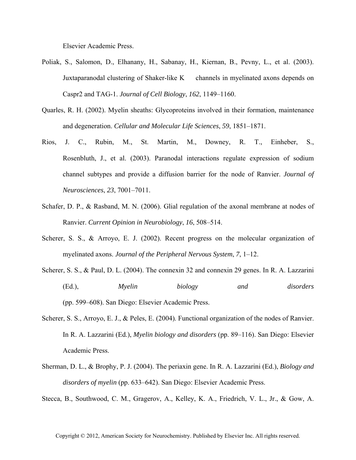Elsevier Academic Press.

- Poliak, S., Salomon, D., Elhanany, H., Sabanay, H., Kiernan, B., Pevny, L., et al. (2003). Juxtaparanodal clustering of Shaker-like K channels in myelinated axons depends on Caspr2 and TAG-1. *Journal of Cell Biology*, *162*, 1149–1160.
- Quarles, R. H. (2002). Myelin sheaths: Glycoproteins involved in their formation, maintenance and degeneration. *Cellular and Molecular Life Sciences*, *59*, 1851–1871.
- Rios, J. C., Rubin, M., St. Martin, M., Downey, R. T., Einheber, S., Rosenbluth, J., et al. (2003). Paranodal interactions regulate expression of sodium channel subtypes and provide a diffusion barrier for the node of Ranvier. *Journal of Neurosciences*, *23*, 7001–7011.
- Schafer, D. P., & Rasband, M. N. (2006). Glial regulation of the axonal membrane at nodes of Ranvier. *Current Opinion in Neurobiology*, *16*, 508–514.
- Scherer, S. S., & Arroyo, E. J. (2002). Recent progress on the molecular organization of myelinated axons. *Journal of the Peripheral Nervous System*, *7*, 1–12.
- Scherer, S. S., & Paul, D. L. (2004). The connexin 32 and connexin 29 genes. In R. A. Lazzarini (Ed.), *Myelin biology and disorders* (pp. 599–608). San Diego: Elsevier Academic Press.
- Scherer, S. S., Arroyo, E. J., & Peles, E. (2004). Functional organization of the nodes of Ranvier. In R. A. Lazzarini (Ed.), *Myelin biology and disorders* (pp. 89–116). San Diego: Elsevier Academic Press.
- Sherman, D. L., & Brophy, P. J. (2004). The periaxin gene. In R. A. Lazzarini (Ed.), *Biology and disorders of myelin* (pp. 633–642). San Diego: Elsevier Academic Press.

Stecca, B., Southwood, C. M., Gragerov, A., Kelley, K. A., Friedrich, V. L., Jr., & Gow, A.